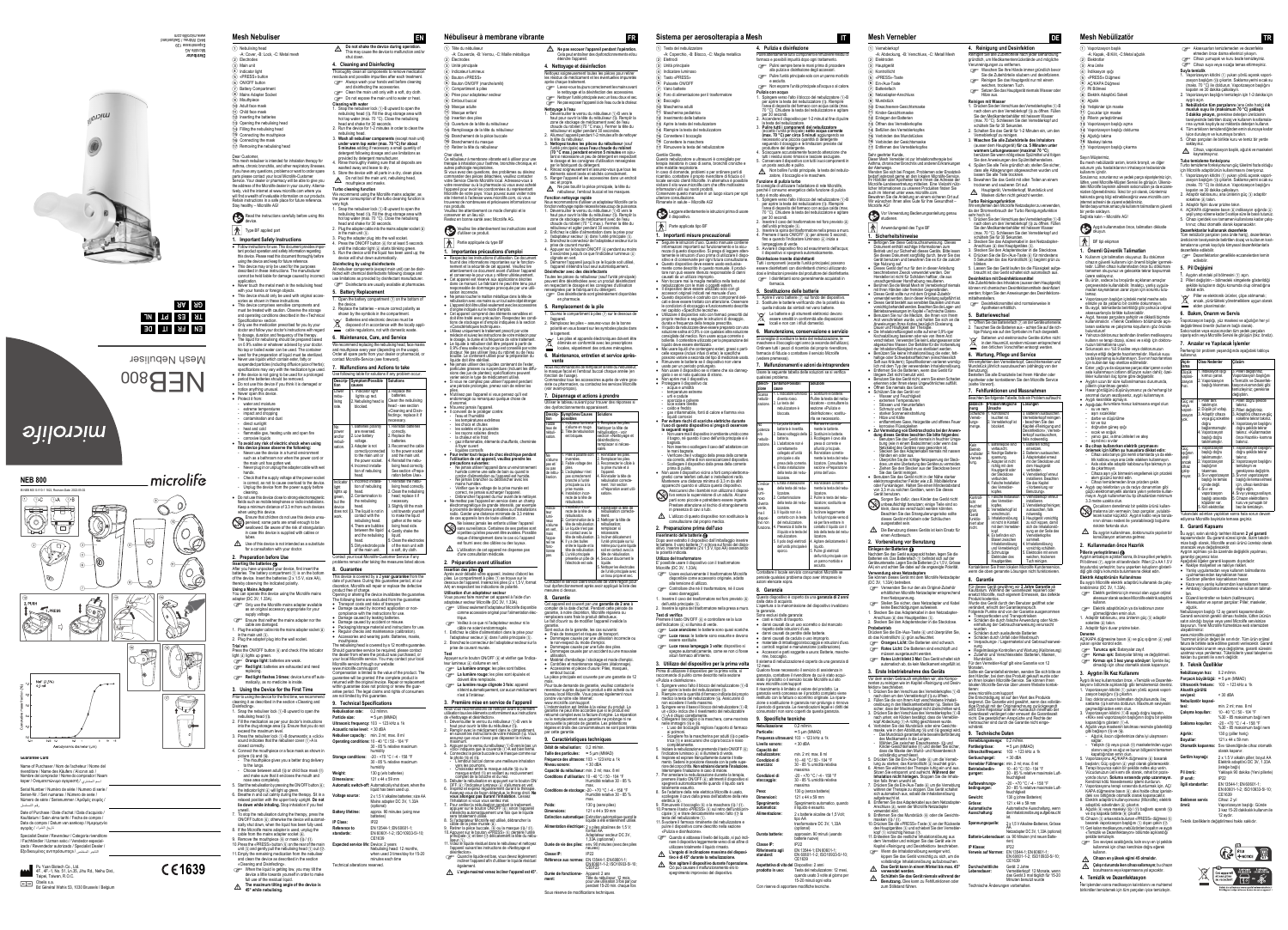## **NEB 800**

IB NEB 800 S-V10-1 1822, Revision-Date: 2022-05-02





## **Guarantee Card**

| izado / Revendedor autorizado / Specialist Dealer /<br>التاحر المختص / Εξειδικευμένος αντιπρόσωποςa                                                                                                    |  |
|--------------------------------------------------------------------------------------------------------------------------------------------------------------------------------------------------------|--|
| Specialist Dealer / Revendeur / Categoria rivenditore<br>/ Fachhändler / Uzman satıcı / Vendedor especial-                                                                                             |  |
| Date of Purchase / Date d'achat / Data d'acquisto /<br>Kaufdatum / Satin alma tarihi / Fecha de compra /<br>Data da compra / Datum van aankoop / Ημερομηνία<br>تاريخ الشراء / αγοράς                   |  |
| Serial Number / Numéro de série / Numero di serie /<br>Serien-Nr. / Seri numarası / Número de serie /<br>Número de série / Serienummer / Αριθμός σειράς /<br>رقم التسلسل                               |  |
| Name of Purchaser / Nom de l'acheteur / Nome del<br>rivenditore / Name des Käufers / Alıcının adı /<br>Nombre del comprador / Nome do comprador / Naam<br>koper / Ονοματεπώνυμο αγοραστή / اسم المشترى |  |

4F., 4F.-1, No. 51, Ln.35, Jihu Rd., Neihu Dist.,

aipei, Taiwan, R.O.C

Obelis s.a. Bd Général Wahis 53, 1030 Brussels / Belgium

# **1639**

Dear Customer,

This mesh nebuliser is intended for inhalation therapy for asthma, chronic bronchitis, and other respiratory illnesses. If you have any questions, problems or want to order spare parts please contact your local Microlife-Customer Service. Your dealer or pharmacy will be able to give you the address of the Microlife dealer in your country. Alternatively, visit the internet at www.microlife.com where you will find a wealth of invaluable information on our products. Retain instructions in a safe place for future reference. Stay healthy – Microlife AG!

Read the instructions carefully before using this device.

- $\bigwedge$  Type BF applied part
- **1. Important Safety Instructions** • Follow instructions for use. This document provides impor-
- tant product operation and safety information regarding this device. Please read this document thoroughly before using the device and keep for future reference.
- This device may only be used for the purposes described in these instructions. The manufacturer cannot be held liable for damage caused by incorrect
- application. Never touch the metal mesh in the nebulising head with your hands or foreign objects.
- This device should only be used with original accessories as shown in these instructions. This device comprises sensitive components and
- must be treated with caution. Observe the storage and operating conditions described in the «Technica
- [Specifications»](#page-0-0) section. Only use the medication prescribed for you by your doctor and follow your doctor's instructions with regard
- to dosage, duration and frequency of the therapy. The liquid for nebulising should be prepared based
- on 0.9% saline or whatever advised by your docto No tap or boiled water can be used. The container used for the preparation of liquid must be sterilized. Never use liquids which contain ester, fatty or
- suspended particles (including diffusion juice of herbs) specifications may vary with the medication type used.
- If the device is not going to be used for a prolonged period the batteries should be removed. Do not use this device if you think it is damaged or
- notice anything unusual.
- Never open this device. Protect it from:
- water and moisture
- extreme temperatures impact and dropping
- contamination and dus direct sunlight
- heat and cold
- flammable gas, heating units and open fire - corrosive liquids **To avoid any risk of electric shock when using this device please observe the following:**
- Never use the device in a humid environment such as a bathroom nor when the power cord or the main unit has gotten wet
- Never plug in or unplug the adapter cable with wet hands.
- Check that the supply voltage at the power socket is correct, as not to cause overload to the device.
- Unplug the device from the power supply before cleaning. Do not use this device close to strong electromagnetic
- fields such as mobile telephones or radio installations. Keep a minimum distance of 3.3 m from such devices
- when using this device Ensure that children do not use this device unsupervised; some parts are small enough to be
- vallowed. Be aware of the risk of strangulation in case this device is supplied with cables or tubes.
- Use of this device is not intended as a substitute for a consultation with your doctor
- <span id="page-0-5"></span>**2. Preparation before Use**
- **Inserting the batteries @**<br>After you have unpacked your device, first insert the batteries. The battery compartment  $\widehat{(\tau)}$  is on the botto of the device. Insert the batteries  $(2 \times 1.5 \text{ V}, \text{size AA})$ thereby observing the indicated polarity.
- **Using a Mains Adapter** You can operate this device using the Microlife mains
- adapter (DC 3V, 1.33A). Only use the Microlife mains adapter available
- as an original accessory appropriate for your upply voltage.
- Ensure that neither the mains adapter nor the cable are damaged.
- 1. Plug the adapter cable into the mains adapter socket  $\circledast$ in the main unit  $(3)$ . 2. Plug the adapter plug into the wall socket.
- 
- **Trial run** Press the ON/OFF button 6 and check if the indicator light  $\overline{4}$  lights up green.
- **Orange light:** batteries are weak
- **Red light:** batteries are exhausted and need eplacing. **Red light flashes 3 times:** device turns off auto-
- matically, as no medicine is inside. **3. Using the Device for the First Time**
- rior to using the device for the first time, we recomm cleaning it as described in the section [«Cleaning and](#page-0-1)
- [Disinfecting».](#page-0-1) 1. Snap the nebuliser lock 1-B upward to open the  $p$ ulising head  $\widehat{a}$ .
- 2. Fill the medication as per your doctor's instructions into the drug storage area  $\widehat{a}$ . Ensure that you do not
- exceed the maximum level. 3. Press the nebuliser lock  $\bigcap$ -B downwards; a «click» sound indicates that the nebuliser cover  $(1)$ -A is
- closed correctly. 4. Connect the mouthpiece or a face mask as shown in
- picture  $\widehat{AB}$  and  $\widehat{AB}$ . The mouthpiece gives you a better drug delivery to the lungs.
- Choose between adult  $(1)$  or child face mask  $(1)$ and make sure that it encloses the mouth and nose area completely.
- 5. Start the nebulisation by pressing the ON/OFF button (6): the indicator light  $\overline{4}$  will light up green. 6. Breathe in and out calmly during the therapy. Sit in a relaxed position with the upper body upright. **Do not**
- **lie down while inhaling.** Stop inhalation if you fee unwell. 7. To stop the nebulisation during the therapy, press the
- ON/OFF button  $(6)$ ; otherwise the device will automatically shut down, when the liquid has been fully used 8. If the Microlife mains adapter is used, unplug the cable from the mains adapter socket 8.
- 9. Remove the mouthpiece  $\overline{(9)}$  or mask  $\overline{(10)}$   $\overline{(11)}$ 10. Press the «PRESS» button (5) on the rear of the main unit  $\widehat{a}$  and gently pull the nebulising head  $\widehat{a}$  out  $\widehat{a}$
- 11. Empty the remaining medication from the nebulise and clean the device as described in the section [«Cleaning and Disinfecting».](#page-0-1) When the liquid is getting low, you may tilt the
- device a little towards yourself in order to make full use of the residual liquid. **The maximum tilting angle of the device is**
- $\triangle$  The maximum tilting<br>45° while nebulising.

**1.** Do not shake the device during operation. This may cause the device to malfunction and/o shut down.

 $\Delta$  Do not boil the main unit, nebulising head, mouthpiece and masks.

- **5. Battery Replacement** . Open the battery compartment  $(\bar{z})$  on the bottom of the device.
- 2. Replace the batteries ensure correct polarity as shown by the symbols in the compartment.
- Batteries and electronic devices must be disposed of in accordance with the locally appl

We recommend replacing the nebulising head, face mask and mouthpiece every year (depending on the usage). Order all spare parts from your dealer or pharmacist, contact Microlife-Service (see foreword). **7. Malfunctions and Actions to take** Use following table for solutions if any problem occur

> . Replace the batteries. Clean the nebulisi head - see section «Cleaning and Dis ecting»; replace it essary.

> > **Reinstall batterie correctly** Replace the batteries. Reconnect the ca to the power sock and the main uni **Reinstall the neb** lising head correct See section «Pren ration before Use

**Reinstall the neb** lising head corred Clean the nebulis head; replace it i necessary. Slightly tilt the ma unit towards yourse  $t$ n make the liqui gather at the neb sing head side 4. Gently shake the liquid. 5. Clean the electrodes of the main unit with

This device is covered by a 2 **year guarantee** from the date of purchase. During this guarantee period, at our discretion, Microlife will repair or replace the defective product free of charge. Opening or altering the device invalidates the guarantee. The following items are excluded from the quarantee: • Transport costs and risks of transport. ) amage caused by incorrect application o compliance with the instructions for use. Damage caused by leaking batteries. amage caused by accident or misuse Packaging/storage material and instructions for use Regular checks and maintenance (calibration). **Accessories and wearing parts: Batteries, masks** 

The nebulising head is covered by a 12 months guarante hould guarantee service be required, please contac the dealer from where the product was purchased, or o doctor work in the service. You may contact your local rolife service through our website: www.microlife.com/support

ompensation is limited to the value of the product. The guarantee will be granted if the complete product is returned with the original invoice. Repair or replacement within guarantee does not prolong or renew the gua antee period. The legal claims and rights of consumers

30 - 85 % relative maximu

30 - 85 % relative maximur

- 9 Mouthpiece  $\bar{10}$  Adult face mask
- $(n)$  Child face mask
- (12) Inserting the batteries (13) Opening the nebulising head
- $\widehat{A}$  Filling the nebulising head
- AO Connecting the mouthpiece
- 16 Connecting the mask

### (17) Removing the nebulising head

. Indicator ligh lights up red. . Nebulising head is blocked.

. Batteries po are reversed. 2. Low battery voltage. 3. Adapter is not correctly connected to the main unit or the power socke . Incorrect installation of nebulisin head.

. Incorrect install tion of nebulising head. . Contamination to the nebulising head. 1. The liquid is not i contact with the nebulising head. . There are bubble between the liquid and the nebulising head. 5. Dirty electrode pole

Cher client, Ce nébuliseur à membrane vibrante est à utiliser pour une thérapie à inhalation pour l'asthme, bronchite chronique, autres pathologie respiratoires. Si vous avez des questions, des problèmes ou désirez commander des pièces détachées, veuillez contacter votre Service Clients Microlife local. Adressez-vous à votre revendeur ou à la pharmacie où vous avez acheté l'appareil pour avoir les coordonnées du représentant Microlife de votre pays. Vous pouvez aussi visiter notre site Internet à l'adresse www.microlife.com, où vous erez de nombreuses et précieuses inf

### <span id="page-0-1"></span>**4. Cleaning and Disinfecting**

- Thoroughly clean all components to residuals and possible impurities after each treatment. Always wash your hands well before cleaning and disinfecting the accessories. Clean the main unit only with a soft, dry cloth
- Do not expose the main unit to water or heat. **Cleaning with water** 1. Snap the nebuliser lock 1-B upward to open the nebulising head (13). Fill the drug storage area with
- hot tap water (max. 70 °C). Close the nebulising head and shake for 30 seconds. 2. Run the device for 1-2 minutes in order to clean th nebulising head.
- 3. Wash all nebuliser compor **under warm tap water (max. 70 °C) for about 5 minutes** adding if necessary a small quantity of detergent following dosage and use limitations as
- ded by detergent manufactur 4. Rinse thoroughly making sure that all deposits are washed away and leave to dry. Store the device with all parts in a dry, clean place.

d'utiliser ce produit. | ◆ | Partie appliquée du type BF

«Caractéristiques techniques»

**1. Importantes précautions d'emploi** Respectez les instructions d'utilisation. Ce document

 Utilisez uniquement le traitement prescrit par votre médecin et suivez les instructions de votre médecin pour e dosage, la durée et la fréquence de votre traiter Le liquide à nébuliser doit être préparé à partir de 0,9% d'eau salée ou tout ce qui est conseillé par votre docteur. Ne pas utiliser l'eau du robinet ou de l'eau bouillie. Le contenant utilisé pour la préparation du liquide doit être stérilisé. Ne jamais utiliser des liquides contenant de l'ester, particules grasses ou suspendues (incluant les diffu-sions des jus de plantes); spécifications peuvent varier selon le type de médicament utilisé. Si vous ne comptez pas utiliser l'appareil pendant une période prolongée, prenez soin de retirer les piles. N'utilisez pas l'appareil si vous pensez qu'il est mmagé ou remarquez quelque chose d

### **Turbo cleaning function** We recommend using the Microlife mains adapter, as

- the power consumption of the turbo cleaning function is very high. 1. Snap the nebuliser lock 1-B upward to open the
- nebulising head (i). Fill the drug storage area with hot tap water (max. 70 °C). Close the nebulising head and shake for 30 seconds. Plug the adapter cable into the mains adapter socket  $(8)$
- in the main unit  $(3)$ . Plug the adapter plug into the wall socket.
- Press the ON/OFF button  $\overline{6}$  for at least 5 seconds until the indicator light  $4$  starts blinking green 5. Run the device until the liquid has been used up; the
- device will shut down automatically. **Disinfecting by using disinfectants**
- All nebuliser components (except main unit) can be disin fected with chemical disinfectants following dosage and use limitations as provided by disinfectant manufacturer.

## Disinfectants are usually available at pharmacies

Vous pouvez faire marcher cet appareil à l'aide d'un adaptateur secteur Microlife (DC 3V, 1.33A). Utilisez seulement l'adaptateur Microlife disponible comme accessoire original pour l'alimentation éle

#### cable regulations, not with domestic waste. **6. Maintenance, Care, and Service**

**La lumière orange:** les piles sont faibles **La lumière rouge:** les piles sont épuisés et doivent être remplacés. **La lumière rouge clignote 3 fois:** appareil s'éteint automatiquement, car aucun médicament

Contact your local Microlife-Customer Service if any problems remain after taking the measures listed above.

**8. Guarantee**

câble de la prise murale ⑧.<br>9. Retirer la pièce buccale, ⑨ ou la masque ⓪ / ①.<br>10.Appuyer sur le bouton «PRESS» ⑤ derrière l'unité  $\vec{p}$ ale  $\vec{p}$  et tirer  $\vec{p}$  délicatement la tête du nébuliseur 1. 11. Videz le liquide résiduel dans le nébuliseur et nettoyez ppareil suivant les instructions de «Nettoyage et [désinfection».](#page-0-7)<br>Quand le liquide est bas, vous devez légèrement<br>incliner l'appareil afin d'utiliser le liquide résiduel incliner l'appareil afin d'utiliser le liquide résiduel également. - **L'angle maximal versez incliner l'appareil est 45°.**

importantes sur le fonction

mouthpiece.

Particle size:

 Lavez-vous toujours correctement les mains avant le nettoyage et la désinfection des accessoires. Nettoyer l'unité principale avec un tissu doux et se Ne pas exposer l'appareil à de l'eau ou de la chaleu

### **Nettoyage à l'eau<br>1. Déverrouiller le verrou du nébuliseur ①-B vers le** haut pour ouvrir la tête du nébuliseur (13). Remplir la zone de stockage de médicament avec de l'eau chaude du robinet (70 °C max.). Fermer la tête du

### diseur et agiter pendant 30 seco 2. Allumez l'appareil pendant 1-2 minutes afin de nettoyer la tête du nébuliseur. 3. **Nettoyez toutes les pièces du nébuliseur** (sauf l'unité principale) **sous l'eau chaude du robinet (70 °C max.) pendant environ 5 minutes** en ajoutant si nécessaire un peu de détergent en respectant le dosage et les consignes d'utilisation renseignées par le fabriquant du détergent.

cez soigneusement et assurez-vous que tous les éléments soient lavés et séchés correctement. 5. Ranger l'appareil et les accessoires dans un endroit

<span id="page-0-0"></span>are not limited by this guarantee. **9. Technical Specifications**

**Nebulisation rate:** 0.2 ml/min.<br>Particle size: ≈ 5 µm (MMAD)

### sec et propre.<br>
Ne pas bouillir la pièce principale, la tête du<br>
pébuliseur l'embeut buggel et les messues. nébuliseur, l'embout buccal et les masques. **Fonction nettoyage rapide** Nous recommandons d'utiliser un adaptateur Microlife car la

fonction nettoyage rapide nécessite beaucoup de puissance.<br>1. Déverrouiller le verrou du nébuliseur (1)-B vers le<br>haut pour ouvrir la tête du nébuliseur (13). Remplir la zone de stockage de médicament avec de l'eau chaude du robinet (70 °C max.). Fermer la tête du nébuliseur et agiter pendant 30 secondes. 2. Enfichez le câble d'alimentation dans la prise pour l'adaptateur secteur 8 dans l'unité principale 3. nchez le connecteur de l'adaptateur secteur sur la

Technical alterations reserved.

### **Mesh Nebuliser EN**

- 1 Nebulising head -A: Cover, -B: Lock, -C: Metal mes 2) Electrode
- 3 Main unit Indicator light
- «PRESS» button i) ON/OFF button **Battery Compartment**
- **(b)** Mains Adapter Socket

### prise de courant murale.<br>4. Appuyer sur le bouton ON/OFF 6 pendant au moins  $5$  secondes jusqu'à ce que l'indicateur lumineux  $\overline{4}$ ) clignote en vert. 5. Démarrer l'appareil jusqu'à ce le liquide soit utilisé,

l'appareil s'éteindra tout seul automatiquement.. **Désinfecter avec des désinfectants** Toutes les pièces du nébuliseur (sauf l'unité principale) euvent être désinfectées avec un produit désinfectan

### en respectant le dosage et les consignes d'utilisation renseignées par le fabriquant du détergent. Des désinfectants sont généralement disponibles

**tion**

**Descrip-Symptom/Possible Solutions**

**causes**

**5. Remplacement de la pile** Ouvrez le compartiment à piles  $\overline{2}$  sur le dessous de

Lower nebulising rate.

- Remplacez les piles assurez-vous de la bonne polarité en vous basant sur les symboles placés dans
- Les piles et appareils électroniques doivent être éliminés en conformité avec les prescriptions locales, séparément des ordures ménagères.
- **6. Maintenance, entretien et service après-**

No power and/or nebulisation.

#### Nous recommandons de remplacer la tête du nébuliseu le masque facial et l'embout buccal chaque année (en

#### **7. Dépannage et actions à prendre** Utiliser le tableau suivant pour trouver des réponses si les dysfonctionnements apparaisser

le non-respect du mode d'emploi. Dommages causés par une fuite des piles.

Indicator light lights up green, but the device does not work.

> joindre via notre site Internet: ww.microlife.com/su

L'indemnisation est limitée à la valeur du produit. La garantie ne peut être accordée que si le produit est ourné complet avec la facture d'origine. La réparation ou le remplacement sous garantie ne prolonge ni ne renouvelle la période de garantie. Les prétentions gales et droits des consommateurs ne sont pas limité

of the main unit. a soft, dry cloth.

2 Électrodes Unité principale Indicateur lumineu S Bouton «PRESS» Bouton ON/OFF (marche/arrêt) 7 Compartiment à piles (b) Prise pour adaptateur secteu 9 Embout buccal 10 Masque adulte 11) Masque enfant 12 Insertion des piles

AM Ouverture de la tête du nébuliseur AN Remplissage de la tête du nébuliseur AO Branchement de la pièce buccale 16 Branchement du masque 17 Retirer la tête du nébuliseur

-A: Couvercle, -B: Verrou, -C: Maille métallique

**Ultrasonic frequency:** 103 ~ 123 kHz ± 1k **Acoustic noise level:** < 30 dBA **Nebuliser capacity:** min. 2 ml; max. 8 ml **Operating conditions:** 10 - 40 °C / 50 - 104 °F

humidity **Storage conditions:** -20 - +70 °C / -4 - 158 °F

humidity **Weight:** 130 g (w/o batteries) **Dimensions:** 121 x 44 x 59 mm **Automatic switch-off:** Automatically shut down, when the

Piles à polari inversées. aible voltage de piles. 'adaptateur n'es pas correctement ranché à l'unit principale ou à la prise murale. 4. Installation incor-recte de la tête de nébulisation.

#### 1. Réinstaller les piles. 2. Remplacer les piles. onnecter le câbl la prise murale et à l'appareil. 4. Réinstaller la tête de nébulisation correcte-ment. Voir section «Préparation avant ut

liquid has been used up.

**Voltage source:** 2 x 1.5 V alkaline batteries; size AA

1. Installation incor-recte de la tête de nébulisation. 2. Contamination de la tête de nébulisation. e liquide n'est pas n contact avec la te de nébul v a des bulles entre le liquide et la tête de nébulisation. 5. L'unité principale présente un pôle de 14 ode est sale.

Mains adapter DC 3V, 1.33A

(optional) **Battery lifetime:** approx. 90 minutes (using new batteries)

**IP Class:** IP22

**Reference to standards:**

EN 13544-1; EN 60601-1; EN 60601-1-2; ISO10933-5/-10;

CE1639

nécessaire. 3. Incliner délicatement l'unité principale sur même pour que le liquide soit en contact avec la tête de nébulisation 1. Secouer doucement le

**Expected service life:** Device: 2 years

Nebulising head: 12 months, when used 3 times/day for 15-20 minutes each time

**Débit de nébulisation:** 0,2 ml/min. **Taille des particules:** ≈ 5 µm (MMAD) **Fréquence des ultrasons:** 103 ~ 123 kHz ± 1k **Niveau sonore:** < 30 dBA **Capacité du nébuliseur:** min. 2 ml; max. 8 m **Conditions d'utilisation:** 10 - 40 °C / 50 - 104 °F Humidité relative 30 - 85 % max. **Conditions de stockage:** -20 - +70 °C / -4 - 158 °F<br>Humidité relative 30 - 85 %<br>max.

Poids: 130 g (sans piles) **Dimensions:** 121 x 44 x 59 mm

**Durée de vie des piles:** env. 90 minutes (avec des piles neuves)

**Référence aux normes:** EN 13544-1; EN 60601-1; EN 60601-1-2; ISO10933-5/-10; CE0123 **Durée de fonctionne-** Appareil: 2 ans<br> **ment:** Tête du nébuliseur: 12 mois,<br> **Canadia Appareiliseur: 2 ans** 

nos produits.

1) Tête du nébuliseu

Veuillez lire attentivement ce mode d'emploi et le conserver en un lieu sûr. Restez en bonne santé avec Microlife AG.

> **1. Importanti misure precauzionali** Seguire le istruzioni d'uso. Questo manuale contie

mente come descritto in questo manuale. Il produt-tore non può essere ritenuto responsabile di danni causati da un utilizzo improprio. Non toccare mai la maglia metallica nella testa del nebulizzatore con le mani o oggetti esterni. Il dispositivo deve essere utilizzato solo con gli accessori originali indicati nel manuale d'uso. Questo dispositivo è costruito con componenti deli-cati e deve essere trattato con attenzione. Osservare le condizioni di stoccaggio e funzionamento descritt

nement et la sécurité de cet appareil. Veuillez lire attentivement ce document avant d'utiliser l'appareil et conservez-le pour vous y référer ultérieurement. Cet appareil est réservé aux applications décrites dans ce manuel. Le fabricant ne peut être tenu pour responsable de dommages provoqués par une utilisation incorrecte. Ne jamais toucher le maillon métallique dans la tête de iébulisation avec vos mains ou un tout autre obiet étrange L'appareil doit être utilisé seulement avec les accessoires d'origine indiqués sur le mode d'emploi. Cet appareil comprend des éléments sensibles et doit être traité avec précaution. Respectez les condi-tions de stockage et d'emploi indiquées à la section

> polarità indicat **Utilizzo del trasformatore**

Usare esclusivamente il trasformatore Microlife disponibile come accessorio originale, adatto

Controllare che né il trasformatore, né il cavo

Inserire il cavo del trasformatore nel foro previsto  $\circledast$ 

d'anormal.

dell'unità principale 3. Inserire la spina del tra-

**Test di verifica** Premere il tasto ON/OFF (6) e controllare se la luce dell'indicatore (4) si illumina di verde.

 N'ouvrez jamais l'appareil. Il convient de le protéger contre: - l'eau et l'humidité - les températures extrêmes - les chocs et chutes les saletés et la poussière - les rayons solaires directs - la chaleur et le froid

- gaz inflammable, éléments chauffants, cheminée

à foyer ouvert

<span id="page-0-11"></span>**Insertion des piles <sup>(2)</sup>** 

- liquides corrosifs **Pour éviter tout risque de choc électrique pendant l'utilisation de cet appareil, veuillez prendre les précautions suivantes:** - Ne jamais utiliser l'appareil dans un environnemen humide comme une salle de bain ou quand le cordon d'alimentation ou l'appareil est humide. Ne jamais brancher ou débrancher avec les mains humides. - Vérifier que le voltage de la prise murale est correct, ne jamais surcharger l'appare )ébrancher l'appareil du mur avant de le nettoye Ne mettez pas l'appareil en service dans un chami électromagnétique de grande intensité, par exemple à proximité de téléphones portables ou d'installations radio. Garder une distance minimale de 3,3 mètres

de ces appareils lors de toute utilisation. Ne laissez jamais les enfants utiliser l'appareil sans surveillance. Certaines de ses parties sont si petites qu'elles peuvent être avalées. Possible risque d'étranglement dans le cas où l'appareil est fourni avec des câbles ou des tuyaux. L'utilisation de cet appareil ne dispense pas d'une consultation médicale. **2. Préparation avant utilisation**

- **Luce arancione:** le batterie sono quasi scariche **Luce rossa:** le batterie sono esaurite e devono
- essere sostituite. **Luce rossa lampeggia 3 volte:** dispositivo si
- spegne automaticamente, come se non ci fosse alcun farmaco all'interno.
- **3. Utilizzo del dispositivo per la prima volta** Prima di utilizzare il dispositivo per la prima volta, si raccomanda di pulirlo come descritto nella sezione
- [«Pulizia e disinfezione»](#page-0-8). Spingere verso l'alto il blocco del nebulizzatore (1)-B per aprire la testa del nebulizzatore (13).
- empire con la quantità di farmaco indicata dal proprio medico la testa del nebulizzatore (14). Assicurarsi di
- non eccedere il livello massimo. 3. Spingere verso il basso il blocco del nebulizzatore 1-B; un «click» indica che il rivestimento del nebulizzatore
- 1-A è chiuso correttamente. 4. Collegare il boccaglio o la maschera, come mostrato nelle immagini (B e 16.
- L'uso del boccaglio migliora l'apporto di farmaco ai polmoni.<br>- Scegliere fra la mascherina per adulti  $\widehat{\mathfrak{w}}$  o pediarica (1) e assicurarsi che copra bocca e naso
- completamente. 5. Iniziare la nebulizzazione premendo il tasto ON/OFF 6;
- l'indicatore luminoso (4) si illuminerà di verde.<br>6. Inspirare ed espirare tranquillamente durante il tratta-<br>mento. Sedersi in posizione rilassata con la parte superiore del corpo dritta. **Non sdraiarsi durante l'inalazione.** ompere l'inalazione in caso di malore 7. Per arrestare la nebulizzazione durante la terapia,
- ere il tasto ON/OFF 6; altrimenti il dis spegnerà automaticamente quando il liquido sarà totalmente esaurito.
- 8. Se l'adattore della rete elettrica Microlife è usato, scollegare il cavo dalla presa dell'adattore della rete elettrica 8.
- 9. Rimuovere il boccaglio (o) o la maschera (n) / (n).<br>10.Premere il tasto «PRESS» ⑤ sul retro dell'unità prin-<br>cipale ③ e tirare delicatamente verso l'alto (n) la testa del nebulizzatore  $(1)$ . 11.Svuotare il farmaco rimanente dal nebulizzatore e
- pulire il dispositivo come descritto nella sezione [«Pulizia e disinfezione».](#page-0-8) Quando si abbassa il livello del liquido, si può incli-
- nare il dispositivo leggermente verso di sé alfine di utilizzare totalmente il liquido rimasto.  $\triangle$  **L'angolo di inclinazione massima del dispositivo è di 45° durante la nebulizzazione.**
- $\triangle$  **Non agitare il dispositivo durante l'operazione.** Ciò può causare il malfunzionamento e/o lo spegnimento improvviso del dispositivo.

Après avoir déballé votre appareil, insérez d'abord les piles. Le compartiment à piles ⑦ se trouve sur le<br>dessous de l'appareil. Insérez les piles (2 x 1,5 V, format AA) en respectant les indications de polarité. **Utilisation d'un adaptateur secteur**

trique.

 Veillez à ce que ni l'adaptateur secteur ni le câble ne soient endommagés. 1. Enfichez le câble d'alimentation dans la prise pour l'adaptateur secteur 8 dans l'unité principale 3. 2. Branchez le connecteur de l'adaptateur secteur sur la

**Test**<br>Appuyer sur le bouton ON/OFF ⑥ et vérifier que l'indica-

prise de courant murale.

teur lumineux  $\widehat{a}$  s'allume en vert.

n'est à l'intérieur.

Veuillez lire attentivement les instructions avant<br>d'utiliser ce produit.

- **4.** Pulizia e disinfezione **Sistema per aerosolterapia a Mesh ITT** -A: Coperchio, -B: Blocco, -C: Maglia metallica
	- Pulire attentamente tutti i componenti e rimuovere residui farmaco e possibili impurità dopo ogni trattamento. Pulirsi sempre bene le mani prima di procedere alla pulizia e disinfezione degli accessori.
	- Pulire l'unità principale solo con un panno morbido e asciutto. Non esporre l'unità principale all'acqua o al calore **Pulizia con acqua**
	- 1. Spingere verso l'alto il blocco del nebulizzatore (1)-B per aprire la testa del nebulizzatore (1). Riempire l'area di deposito del farmaco con acqua calda (max. . Chiudere la testa del nebulizzatore e agitare
	- per 30 secondi. 2. Accendere il dispositivo per 1-2 minuti al fine di pulire la testa del nebulizzatore. 3. **Pulire tutti i componenti del nebulizzatore**  l'unità principale) **sotto acqua corrente**
	- **(max. 70 °C) per circa 5 minuti** aggiungendo se necessario una piccola quantità di detergente seguendo il dosaggio e le limitazioni previste dal produttore del detergente. 4. Sciacquare accuratamente facendo attenzione che
	- tutti i residui siano rimossi e lasciare asciugare. 5. Conservare il dispositivo con tutti i suoi componenti in un posto asciutto e pulito.  $\Delta$  Non bollire l'unità principale, la testa del nebulizzatore, il boccaglio e le maschere.
	- **Funzione di pulizia turbo** anzione di punzia tanco perchè il consumo energetico della funzione di pulizia
	- turbo è molto elevato. 5. Spingere verso l'alto il blocco del nebulizzatore (7-B) per aprire la testa del nebulizzatore (13). Riempire rea di deposito del farmaco con acqua calda (max 70 °C). Chiudere la testa del nebulizzatore e agitare
	- per 30 secondi. Inserire il cavo del trasformatore nel foro previsto  $\circledast$ dell'unità principale 3.
- informazioni importanti sul funzionamento e la sicu-rezza di questo dispositivo. Si prega di leggere atten-3. Inserire la spina del trasformatore nella presa a muro. 4. Premere il tasto ON/OFF 6 per almeno 5 secondi, fino a quando l'indicatore luminoso  $\overline{a}$  inizia a lampeggiare di verde. 5. Avviare il dispositivo fino ad esaurimento dell'acqua;
- sitivo e di conservarle per ogni futura consultazione. Questo dispositivo deve essere usato esclusiva-I dispositivo si spegnerà automaticamente. **Disinfezione tramite disinfettanti** utti i componenti (eccetto l'unità principale) posson
	- essere disinfettanti con disinfettanti chimici utilizzando dosi e limitazioni previste dal produttore del disinfettante. I disinfettanti sono generalmente acquistati in farmacia.
	- **5. Sostituzione delle batterie**
	- Aprire il vano batterie  $(7)$  sul fondo del dispositi Sostituire le batterie verificando che la polarità sia quella indicata dai simboli nel vano batterie.
	- Le batterie e gli strumenti elettronici devo essere smaltiti in conformità alle disposizioni locali e non con i rifiuti domestici.
- proprio medico e seguire le istruzioni di dosaggio, durata e frequenza della terapia prescritta. Il liquido da nebulizzare deve essere preparato con una consigliata dal medico. Non usare acqua corrente o bollente. Il contenitore utilizzato per la preparazione del **6. Manutenzione, conservazione e servizio** Si consiglia di sostituire la testa del nebulizzazione, le here e il boccaglio ogni anno (a seconda dell'utilizzo: Ordinare tutti i pezzi di ricambio dal proprio rivenditore,
	- armacia di fiducia o contattare il servizio Microlife (vedere premessa). **7. Malfunzionamenti e azioni da intraprendere**
	- Usare la seguente tabella delle soluzioni se si verifica qualsiasi problema.

- Questo dispositivo è coperto da una **garanzia di 2 anni** dalla data di acquisto. 'apertura o la manomissione del dispositivo invalidano
- la garanzia. ono esclusi dalla garanzia:
- costi e rischi di trasporto
- danni causati da un uso scorretto o dal mancato rispetto delle istruzioni d'uso.
- danni causati da perdite delle batterie. danni causati da caduta o uso impropr

**3. Première mise en service de l'appareil** Nous vous recommandons de nettoyer avant la premiè utilisation tous les éléments conformément aux instructions de [«Nettoyage et désinfection».](#page-0-7)<br>1. Déverrouiller le verrou du nébuliseur ①-B vers le haut pour ouvrir la tête du nébuliseur (13 2. Remplir avec le médicament dans le compartiment,<br>en suivant les instructions de votre médecin @. Vous assurez que vous n'avez pas dépasser le niveau maximum.<br>3. Appuyer sur le verrou du nébuliseur 1-B vers le bas; un  $\chi$ clic» indiquera que le couvercle  $(1)$ -A est bien fermé. 4. Connectez la pièce buccale ou le masque comme sur la photo AO et AP. - L'embout buccal donne une meilleure inhalation vers les poumons. - Choisissez entre le masque adulte AT ou le masque enfant AK en veillant au recouvrement complet de la bouche et du nez. 5. Débuter la nébulisation en appuyant sur le bouton ON/ OFF 6; l'indicateur lumineux 4 s'allumera en vert.

6. Inspirez et expirez régulièrement durant la thérapie.<br>
Asseyez-vous de façon détendue, le thorax droit. Ne<br>
vous allongez pas durant l'inhalation. Cessez<br>
l'inhalation si vous vous sentez mal.<br>
7. Pour arrêter la nébuli

<span id="page-0-7"></span>éteindre l'appareil.

## - **Ne pas secouer l'appareil pendant l'opération.** Cela peut entraîner des dysfonctionnements et/ou **4. Nettoyage et désinfection** Nettoyez soigneusement toutes les pièces pour retirer les résidus de médicament et les éventuelles impuretés

#### attare il locale servizio consumatori Microlife se un panno morbido e asciutto.

dell'unità principale c

après chaque traitement.

Dauer und Häufigkeit der Therapie Die Inhalationsflüssigkeit sollte auf einer 0,9%-iger Kochsalzlösung basieren oder wie von Ihrem Arzt verschrieben. Verwenden Sie kein Leitun abgekochtes Wasser. Der Behälter für die Vorbereitung der Inhalationsflüssigkeit muss sterilisiert werden. Benützen Sie keine Inhalationslösug die ester, fetthaltige oder Schwebstsoffteilchen (einschliesslich Saft aus Kräutern); Spezifikationen variieren womöglich mit dem Typ der verwendeten Inhalationslösung. Entfernen Sie die Batterien, wenn das Gerät für längere Zeit nicht benutzt wird. Benutzen Sie das Gerät nicht, wenn Sie einen Schaden erkennen oder Ihnen etwas Ungewöhnliches auffällt. Öffnen Sie niemals das Gerät.

 Schützen Sie das Gerät vor: - Wasser und Feuchtigkeit - extremen Temperaturen Stössen und Herunterfallei Schmutz und Staub starker Sonneneinstrahlung Hitze und Kälte

Überprüfen Sie die richtige Netzspannung der Steck dose, um eine Überlastung des Gerätes zu vermeide ehen Sie den Stecker aus der Steckdose bevo Sie das Gerät reinigen. Benutzen Sie das Gerät nicht in der Nähe starker elektromagnetischer Felder wie z.B. Mobiltelefone oder Funkanlagen. Halten Sie einen Mindestabstan von 3,3 m zu solchen Geräten, wenn Sie dieses Gerät benutzen. Sorgen Sie dafür, dass Kinder das Gerät nicht unbeaufsichtigt benutzen; einige Teile sind so er gen en daar, das runder das Seitermein<br>unbeaufsichtigt benutzen; einige Teile sind so<br>klein, dass sie verschluckt werden könnten. Beachten Sie das Strangulierungsrisiko sollte dieses Gerät mit Kabeln oder Schläuchen

en pharmacie.

<span id="page-0-13"></span>einen Arztbesuch. **2. Vorbereitung vor Benutzung Einlegen der Batterien 12** 

l'appareil.

le logement.

Nachdem Sie das Gerät ausgepackt haben, legen Sie die<br>Batterien ein. Das Batteriefach ⊘ befindet sich auf der Geräteunterseite. Legen Sie die Batterien (2 x 1,5 V, Grösse AA) ein und achten Sie dabei auf die angezeigte Polarität. **Verwendung eines Netzadapters** Sie können dieses Gerät mit dem Microlife Netzadapter

Verwenden Sie nur den als Original-Zubehör erhältlichen Microlife Netzadapter entsprechen

Stellen Sie sicher, dass Netzadapter und Kabel keine Beschädigungen aufweisen. Stecken Sie das Adapterkabel in de Anschluss (8) des Hauptgerätes (3) Stecken Sie den Adapterstecker in die Steckdose

**vente**

 $\mathbb N$ 

oir avant-propos).

Drücken Sie die Ein-/Aus-Taste 6 und überprüfen Sie, ob das Kontrolllicht 4 grün aufleuchtet.<br>Care Cranges Licht: Die Batterien sind schwach **Coranges Licht:** Die Batterien sind schwach.<br> **Coranges Licht:** Die Batterien sind erschönft und **Rotes Licht:** Die Batterien sind erschöpft und<br>müssen ausgetauscht werden. müssen ausgetauscht werden. **Rotes Licht blinkt 3 Mal: Das Gerät schaltet sich** automatisch ab, da kein Medikament eingefüllt ist.

fonction de l'usage). Commandez tous les accessoires auprès de votre grossiste ou pharmacien, ou contactez les services Microlife

mesures ci dessus. **8. Garantie**

#### Cet appareil est couvert par une **garantie de 2 ans** à compter de la date d'achat. Pendant cette période de garantie, à notre discrétion, Microlife réparera ou emplacera sans frais le produit défectueux. Le fait d'ouvrir ou de modifier l'appareil invalide la

garantie. Sont exclus de la garantie, les cas suivants: Frais de transport et risques de transpo Dommages causés par une utilisation incorrecte ou

> Drücken Sie den Verschluss des Verneblerkopfes (1)-B ach oben um den Verneblerkopf (13) zu öffner . Füllen Sie die von Ihrem Arzt verschriebene Inhalati onslösung in den Medikamtenbehälter (4). Stellen Sie sicher, dass der Maximalpegel nicht überschritten wird.<br>3. Drücken Sie den Verschluss des Verneblerkopfes (1)-B nach unten; ein Klicken bestätigt, dass die Verneblerkopf Abdeckung 1-A richtig geschlossen wurde.<br>4. Verbinden Sie das Mundstück oder eine Gesichtsmaske, wie in den Abbildung ⊕und ⊕ gezeigt wird.<br>- Das Mundstück garantiert eine bessere Beförderung<br>des Medikaments in die Lungen. Wählen Sie zwischen Erwachsenen- (10 und inder-Gesichtsmaske (11) und stellen Sie sicher dass die Maske den Mund- und Nasenbereich vollständig umschliesst. 5. Drücken Sie die Ein-/Aus-Taste 6 um die Verneblung zu starten; das Kontrolllicht 4 leuchtet grün. 6. Atmen Sie während der Therapie ruhig ein und aus. Sitzen Sie entspannt und aufrecht. **Während der Inhalation nicht hinlegen.** Stoppen Sie die Inhalation falls Ihnen unwohl ist. 7. Drücken Sie die Ein-/Aus-Taste 6 um die Verneblung währen der Therapie zu stoppen. Das Gerät schaltet sich automatisch aus, sobald die Inhalationslösung aufgebraucht ist. 8. Entfernen Sie das Adapterkabel aus dem Netzadapter-Anschluss (8), wenn der Microlife Netzadapte verwendet wird. 9. Entfernen Sie das Mundstück 9 oder die Gesichtsmasken (@ / (1).<br>10. Drücken Sie die «PRESS»-Taste (5) an der Rückseite des Hauptgerätes 3 und schieben Sie den Verneble kopf 1 vorsichtig heraus 1.<br>11. Entleeren Sie die restliche Inhalationslösung aus dem Vernebler und reinigen Sie das Gerät wie im Kapitel [«Reinigung und Desinfektion»](#page-0-9) beschrieben. Wenn die Inhalationslösung weniger wird. kippen Sie das Gerät vorsichtig zu sich, um die vollständige Inhalationslösung aufzubrauchen.

utilisation. Matériel d'emballage / stockage et mode d'emploi. Contrôles et maintenance réguliers (étalonnage). Accessoires et pièces d'usure: Piles, masques,

<span id="page-0-9"></span>**4. Reinigung und Desinfektion** Reinigen Sie alle Zubehörteile nach jeder Behandlung gründlich, um Medikamentenrückstände und möglich

Waschen Sie Ihre Hände immer gründlich bevor Sie die Zubehörteile säubern und desinfizieren. Reinigen Sie das Hauptgerät nur mit einem weichen, trockenen Tuch

Setzen Sie das Hauptgerät niemals Wasser oder

embout buccal.

La pièce principale est couverte par une garantie de 12 mois. Pour toute demande de garantie, veuillez contacter le revendeur auprès duquel le produit a été acheté ou le bureau local Microlife. Vous pouvez également nous

Hitze aus. **Reinigen mit Wasse** 

1. Drücken Sie den Verschluss des Verneblerkopfes (1)-B ach oben um den Verneblerkopf (3) zu öffnen. Füller Sie den Medikamtenbehälter mit heissem Wasser (max. 70 °C). Schliessen Sie den Verneblerkopf und

par cette garantie.

<span id="page-0-2"></span>**9. Caractéristiques techniques**

Sous réserve de modifications techniques.

## **Nébuliseur à membrane vibrante FR**

1. noormet.<br>Drücken Sie den Verschluss des Verneblerkopfes (1)-B nach oben um den Verneblerkopf (13) zu öffnen. Füller Sie den Medikamtenbehälter mit heissem Wasser (max. 70 °C). Schliessen Sie den Verneblerkopf und

Stecken Sie das Adapterkabel in den Netzadanter Anschluss 8 des Hauptgerätes 3. 3. Stecken Sie den Adapterstecker in die Steckdose. 4. Drücken Sie die Ein-/Aus-Taste 6 für mindestens 5 Sekunden bis das Kontrolllicht 4 beginnt grün zu blinken. 5. Lassen Sie das Gerät laufen bis die Flüssigkeit aufgebraucht ist; das Gerät schaltet sich automatisch aus.

Desinfektionsmittel sind normaler Apotheken erhältlich. **5. Batteriewechsel**

**tion**

Faible taux de nébulisation.

ontacter le service clie<br>nut dysfonctionnement

Öffnen Sie das Batteriefach (7) an der Geräteunterseite Tauschen Sie die Batterien aus – achten Sie auf die rich tige Polung wie auf den Symbolen im Fach dargestellt. Batterien und elektronische Geräte dürfen nicht in den Hausmüll, sondern müssen entsprechend den örtlichen Vorschriften entsorgt werden. **6. Wartung, Pflege und Service**

**Descrip-Symptômes/Causes Solutions possibles** 1. Indicateur lumineux 3. Remplacer les piles. s'allume en rouge. 2. Tête de nébulisation Nettoyer la tête de nébulisation - voir section «Nettoyage e [désinfection»](#page-0-7); remplacer si nécessaire.

est bloquée.

empfehlen den Verneblerkopf, Gesichtsmasken un Mundstück jährlich auszutauschen (abhängig von der Benutzung). Bestellen Sie alle Ersatzteile bei Ihrem Händler oder Apotheker oder kontaktieren Sie den Microlife Service

> 3. Batterien austausche Verneblerkopf reinigen - beachten Sie das Kapitel [«Reinigung und](#page-0-9)  esinfektion»: Verne erkopf austauschen falls notwendig

Ne s'allume pas et/ ou pas de nébulisation.

Indicateur lumineux s'allume en vert, mais l'appareil ne fonctionne pas.

- **Mesh Vernebler DE**
- 1 Verneblerkopf
- -A: Abdeckung, -B: Verschluss, -C: Metall Mesh
- 2) Elektroder
- b) Hauptgerät

[sation»](#page-0-11). Réinstaller la tête de nébulisation correcte-ment. .......<br>Nettoyer la tête de nébulisation; remplacer si

1. Kontrolllicht leuchtet rot. rkopf ist

liquide. 5. Nettoyer les électrodes de l'unité principale a un tissu propre et sec.

nement après avoir appliqué la liste de

es causés par un accident ou une mauvais

Batteriepole sin vertauscht. liedrige Batteriespannung. 3. Adapter ist nicht richtig mit dem Hauptgerät oder der Steckdose verbunden. 4. Falsche Installation des Verneblerkopfes.

**Ratterien richtig** einsetzen. Batterien austausch 3. Adapterkabel erneut mit der Steckdose und dem Hauptgerät verbinden. 4. Verneblerkopf erneut installieren. Beachten Sie das Kapitel ereitung vo [Benutzung»](#page-0-13).

Falsche Installa des Verneblerkopfes. 2. Verneblerkopf ist verschmutzt. 3. Inhalationslösung ist nicht in Kontakt mit dem Verneble kopf. 4. Es befinden sich Blasen zwisch Inhalationslösung und Verneblerkopf. Schmutzige Elektroden des Hauptgerätes.

Verneblerkopf erne installieren. 2. Verneblerkopf reinigen; austauschen, falls notwendig. 3. Hauptgerät vorsichtig zu sich kippen, damit sich die Inha sung an der Seite des Verneblerkopfes sammelt. 4. Inhalationslösung vorsichtig schütteln. Elektroden mit eine weichen, trockenen Tuch reinigen.

n Sie Ihren lokalen Microlife Kunden wenn die oben genannte Lösungen nicht funktionierer

**Extinction automatique:** Extinction automatique quand le liquide a été entièrement utilisé. **Alimentation électrique:** 2 x piles alcalines de 1,5 V;

-20 - +70 °C / -4 - 158 °F 0 - 85 % relative maximale Luft-

format AA Adaptateur secteur DC 3V, 1,33A (optionnel)

**Classe IP:** IP22

**Spannungsquelle:** 2 x 1,5 V Alkaline-Batterien, Grösse AA Netzadapter DC 3V, 1,33A (optional) **Bauer:** ca. 90 Minuten (mit neuen Batte-

pour une utilisation 3 fois par jour pendant 15-20 min. chaque fois

Bu mesh nebülizatör astım, kronik bronşit, ve diğer solunum yolu hastalıklarının inhalasyon tedavisinde

nternet adresini de ziyaret edebilirsiniz.

Gentile Cliente, Questo nebulizzatore a ultrasuoni è consigliato per terapia inalatoria in caso di asma, bronchiti croniche e altre malattie respiratorie. In caso di domande, problemi o per ordinare parti di ricambio, contattare il proprio rivenditore di fiducia o il locale servizio clienti Microlife. In alternativa è possibile visitare il sito www.microlife.com che offre moltissime informazioni utili sui nostri prodotti. Conservare questo manuale in un luogo sicuro per ogni

Foro di alimentazione per il trasformatore

ulteriore consultazione. Rimanete in salute – Microlife AG!

<span id="page-0-8"></span>1) Testa del nebulizzato

2) Elettrodi 3 Unità principale Indicatore luminos 5 Tasto «PRESS» Pulsante ON/OFF Vano batterie

(i) Boccaglio AT Mascherina adulti (b) Mascherina pediatrica Inserimento delle batterie 3) Aprire la testa del nebulizzatore **a** Riempire la testa del nebulizzatore a) Connettere il boccaglio  $6$  Connettere la maschera  $\overline{\partial}$  Rimuovere la testa del nebulizzatore

 $\bigcirc$  Parte applicata tipo BF

Leggere attentamente le istruzioni prima di usare il dispositivo.

tamente le istruzioni d'uso prima di utilizzare il dispo-

su ve nem - aşırı sıcaklıklar - darbe ve düşürülme kir ve toz - doğrudan güneş ışığı - sıcak ve soğuk

yanıcı gaz, isıtma üniteleri ve ateş - aşındırıcı sıvılar **Bu cihazı kullanırken elektrik çarpmasını önlemek için lütfen şu hususlara dikkat edin:** - Cihazı asla banyo gibi nemli ortamlarda ya da elek-trik kablosu veya ana ünite ıslakken kullanmayın. - Asla ıslak elle adaptör kablosunu fişe takmayın ya da çıkartmayın. - Cihaza aşırı yük binmesini engellemek için prizdeki

nel capitolo [«Specifiche tecniche».](#page-0-10)

<span id="page-0-14"></span>- Bu aygıtın kullanılması, doktorunuzla yapılan bir konsültasyon anlamına gelmez. **2. Kullanmadan önce Hazırlık Pillerin yerleştirilmesi <b>(2)**<br>Aygıtın ambalajını açtıktan s

Utilizzare il dispositivo solo con farmaci prescritti dal

soluzione salina al 0,9% o con qualsiasi altra soluzione

 $P$ il bölmesi  $(7)$ , aygıtın alt tarafındadır. Pilleri (2 x AA 1.5 V boyutunda) yerleştirin; bunu yaparken kutupların gösterildiği gibi doğru konumda bulunmasına dikkat edin. **Elektrik Adaptörünün Kullanılması**

Elektrik geriliminiz için mevcut olan uygun orijinal aksesuar olarak sadece Microlife elektrik adaptörü

kullanın. Elektrik adaptörünün ya da kablonun zarar görmediğinden emin olun. 1. Adaptör kablosunu, ana ünitenin güç 3 adaptör

**Deneme**<br>AÇ/KAPA düğmesine basın ⑥ ve güç ışığının ④ yeşil

an sonra, ilk önce pilleri verleştirir

liquido deve essere sterilizzato.

soketine ® takın. 2. Adaptör fişini duvar prizine takın.

**Turuncu işik:** Bataryalar zayıf.<br>**Tariyi kurmızı işik:** Bataryalar bitmis ve değistirilmeli **Kırmızı ışık:** Bataryalar bitmiş ve değiştirimeli.<br>**Kırmızı ısık 3 kez vanıp sönüvor:** İceride ilad **Kırmızı işık 3 kez yanıp sönüyor:** İçeride ilaç<br>olmadığı için cihaz otomatik olarak kapanıyor. olmadığı için cihaz otomatik olarak kapanıyor.

Aygıtı ilk kez kullanmadan önce, [«Temizlik ve Dezenfek](#page-0-3)[tasyon»](#page-0-3) bölümde açıklandığı gibi temizlemenizi öneririz. Vaporizasyon kitidini (1) yukarı yönlü açarak vaporizasyon başlığını (13 çıkartın.<br>2. İlacı doktorunuzun talimatları doğrultusunda, ilaç saklama (14 kısmına doldurun. Maximum seviyesin geçmediğinizden emin olun.<br>3. Vaporizasyon kilidini 1 -B aşağı doğru kapatın. «Klik» sesi vaporizasyon başlığının doğru bir şekilde kapandığını gösterir (1)-A.<br>4. Ağızlık veya maskenin takılması resimde gösterildiği

 Mai usare liquidi che contengano esteri, grassi o parti-celle sospese (inclusi infusi di erbe); le specifiche possono variare a seconda del tipo di medicinale usat Rimuovere le batterie se il dispositivo non viene usato per un periodo prolungato. Non usare il dispositivo se si ritiene che sia danneg-

gas infiammabile, fonti di calore e fiamma viva - liquidi corrosivi **Per evitare rischi di scariche elettriche durante**  uso di questo dispositivo si prega di osservar **le seguenti regole:** - Non usare mai il dispositivo in ambiente umido come bagno, né quando il cavo dell'unità principale si bagnato. - Non inserire o scollegare il cavo dell' adattatore con le mani bagnate. - Verificare che il voltaggio della presa della corrente sia corretto, alfine di non sovraccaricare il dispositiv ollegare il dispositivo dalla presa della corrente prima di pulirlo.<br>prima di pulirlo.<br>nusare il dispositivo vicino a forti campi elettrom Non usare il dispositivo vicino a forti campi elettroma-gnetici come telefoni cellulari o installazioni radio. Mantenere una distanza minima di 3,3 m da altri apparecchi quando si utilizza questo dispositivo. Assicurarsi che i bambini non utilizzino il dispo tivo senza la supervisione di un adulto. Alcune arti sono piccole e potrebbero essere ingerit Prestare attenzione al rischio di strangolamento

giato o se si nota qualcosa di strano. Non aprire mai il dispositivo. Proteggere il dispositivo da: - acqua e umidità - temperature estreme - urti e cadute - sporcizia e polvere - luce solare diretta - caldo e freddo

> Ağızlık, ilacın ciğerlerinize daha iyi ulaşmasını sağlar. - Yetişkin AT veya çocuk AK maskelerinden uygun olanını seçin ve ağız ve burun bölgesini tamamen

kapattığından emin olun. 5. Vaporizasyonu AC/KAPA düğmesine (6) basarak başlatın; Güç ışığının 4 yeşil olarak gösterecektir.<br>6. Terapi boyunca sakin bir şekilde nefes alıp verin. Vücudunuzun üst kısmı dik olarak, rahat bir pozisyonda oturun. **Soluma sırasında yatıp uzanmayın.** ıdinizi kötü hissederseniz işlemi durdurur 7. Vaporizasyonu terapi sırasında durdurmak için, AÇ/ KAPA düğmesine basın (e); aksi halde cihaz içerisindeki sıvı bittiğinde otomatik olarak kapanacaktır. 8. Elektrik adaptörü kullanıyorsanız (Microlife), elektrik adaptörü soketinden 8 çıkartın. 9. Ağızlık  $\overline{9}$  veya maskeyi  $\overline{10}$  /  $\overline{11}$  bağlantı aparatı  $\overline{10}$ ve dış kapakla birlikte (9) çıkartın.

10. Cihazın 3 arkasında bulunan «PRESS» düğmesi  $\epsilon$ basarak vaporizasyon başlığını  $\eta$  dışarı çekin  $\widehat{\eta}$ . 11. Geri kalan medikasyonu nebülizörden boşaltın ve aygıtı [«Temizlik ve Dezenfektasyon»](#page-0-3) bölümde açıkland

Sıvı seviyesi azaldığında, kaln sıvıyı en iyi şekilde kullanmak için cihazı kendinize doğru eğerek

. Vaporizasyon kitidini (1) yukarı yönlü açarak vapor zasyon başlığını @ çıkartın. Saklama yerini sıcak su (maks. 70 °C) ile doldurun. Vaporizasyon başlığını kapatın ve 30 dakika çalkalayın. 2. Vaporizasyon başlığını temizleyin için 1-2 dakika için

aygıtı açın. 3. **Nebülizörün tüm parçalarını** (ana ünite hariç) **ılık musluk suyu ile (maksimum 70 °C) yaklaşık 5 dakika yıkayın,** gerekirse deterjan üreticisinin tavsiyesinde belirtilen dozaj ve kullanım kısıtlamala rına uymak kaydıyla az miktarda deterjan kullanın. 4. Tüm artıkların temizlendiğinden emin oluncaya kadar yice durulayın ve kurumaya bırakın

in presenza di cavi o tubi.

<span id="page-0-12"></span>L'utilizzo di questo dispositivo non sostituisce la consultazione dal proprio medico. **2. Preparazione prima dell'uso Inserimento delle batterie @** 

Dopo aver estratto il dispositivo dall'imballaggio inserire<br>le batterie. Il vano batterie (7) si trova sul fondo del dispositivo. Inserire le batterie  $(2 \times 1.5 \vee 1)$  tipo AA) osservando

**E' conditation**<br>sibile usare il dispositivo con il trasformatore

Cihazı, vaporizasyon başlık, ağızlık ve maskeleri<br>komptmeyeniz kaynatmayınız.

AÇ/KAPA düğmesine basın 6 indikasyon ışığında 4 yeşil yanıp sönene kadar 5 saniye süre ile basılı tutunuz. 5. Cihazı içerideki sıvı tamamen kullanılana kadar çalıştırınız; cihaz otomatik olarak kapanacaktır.

Microlife (DC 3V, 1.33A).

Dezenfektanlar genellikle eczanelerden temin edilebilir.

alla tensione di utilizzo.

siano danneggiati.

Piller ve elektronik ürünler, çöpe atılmamalı; ancak, yürürlükteki yönetmeliklere uygun olarak elden çıkarılmalıdır.

sipariş edin veya Microlife Servisi ile görüşün (bkz. önsöz). **7. Arızalar ve Yapılacak İşlemler**

Herhengi bir problem yaşandığında aşağıdaki tabloy kullanınız.

Bu aygıt, satın alındığı tarihten itibaren **2 yıl garanti** kapsamındadır. Bu garanti süresi içinde, bizim takdiri-mize bağlı olarak, Microlife arızalı ürünü ücretsiz olarak onaracak veya değiştirecektir. Aygıtın açılması ya da üzerinde değişiklik yapılma

**Distributor** Microlife AG Espenstrasse 139 9443 Widnau / Switzerland ww.microlifi.com

> persiste qualsiasi problema dopo aver intrapreso le azioni elencate sopra.

## **8. Garanzia**

- materiale di imballaggio/stoccaggio e istruzioni d'uso. controlli regolari e manutenzione (calibrazione).
	- cessori e parti soggette a usura: Batterie, masche rine, boccaglio. Il sistema di nebulizzazione è coperto da una garanzia di
	- 12 mesi. Qualora fosse necessario il servizio di assistenza in garanzia, contattare il rivenditore da cui è stato acquistato il prodotto o il servizio locale Microlife sul sito
	- www.microlife.com/support Il risarcimento è limitato al valore del prodotto. La garanzia verrà concessa se il prodotto completo vien estituito con la fattura o scontrino originale. La ripara
	- zione o sostituzione in garanzia non prolunga o rinnova il periodo di garanzia. Le rivendicazioni legali e i diritti dei consumatori non sono coperti da questa garanzia. **9. Specifiche tecniche**
	- **Nebulizzazione:** 0,2 ml/min.
	- **Particelle:** ≈ 5 µm (MMAD) **Frequenza ultrasuoni:** 103 ~ 123 kHz ± 1k
	- **Livello sonoro:** < 30 dBA **Capacità del**
	- **nin. 2 ml; max. 8 ml Condizioni di**  10 - 40 °C / 50 - 104 °F 30 - 85 % umidità relativa
		- massima -20 - +70 °C / -4 - 158 °F
		- 30 85 % umidità relativa massima **Peso:** 130 g (senza batterie)
	- **Dimensioni:** 121 x 44 x 59 mm **Spegnimento automatico:** Spegnimento automatico, quando liquido è esaurito. **Alimentazione:** 2 x batterie alcaline da 1,5 Volt;
	- tipo AA trasformatore DC 3V, 1,33A (optional **Durata batterie:** approssim. 90 minuti (usand
	- e nuove) **Classe IP:** IP22 EN 13544-1; EN 60601-1; EN 60601-1-2; ISO10933-5/-10;
	- **Riferimento agli**  CE1639 **Aspettativa di vita del**  Dispositivo: 2 anni **prodotto in uso:** Testa del nebulizzatore: 12 mes
	- Con riserva di apportare modifiche tecniche. quando usato 3 volte al giorno per 15-20 minuti ogni volta

| Descri-                                                                                               | Sintomo/Possibili                                                                                                                                                                                                                                                                                                                                 | Soluzioni                                                                                                                                                                                                                                                                                                                                                                            |
|-------------------------------------------------------------------------------------------------------|---------------------------------------------------------------------------------------------------------------------------------------------------------------------------------------------------------------------------------------------------------------------------------------------------------------------------------------------------|--------------------------------------------------------------------------------------------------------------------------------------------------------------------------------------------------------------------------------------------------------------------------------------------------------------------------------------------------------------------------------------|
| zione                                                                                                 | cause                                                                                                                                                                                                                                                                                                                                             |                                                                                                                                                                                                                                                                                                                                                                                      |
| Scarsa<br>nebuliz-<br>zazione.                                                                        | 1. L'indicatore luminoso<br>diventa rosso.<br>2. La testa del<br>nebulizzatore è<br>bloccata.                                                                                                                                                                                                                                                     | 3. Sostituire le batterie.<br>Pulire la testa del nebu-<br>lizzatore - consultare la<br>sezione «Pulizia e<br>disinfezione»; sostitu-<br>irla se necessario.                                                                                                                                                                                                                         |
| No<br>potenza<br>$e$ / $o$<br>nebuliz-<br>zazione.                                                    | 1. La polarità delle<br>batterie è invertita.<br>2. Basso voltaggio della<br>batteria.<br>3. L'adattatore non è<br>correttamente<br>collegato all'unità<br>principale o alla<br>presa della corrente.<br>4. Errata installazione<br>della testa del nebu-<br>lizzatore.                                                                           | 1. Reinserire corretta-<br>mente le batterie.<br>2. Sostituire le batterie.<br>3. Ricollegare il cavo alla<br>presa di corrente e<br>all'unità principale.<br>4. Reinstallare corretta-<br>mente la testa del nebu-<br>lizzatore. Consultare la<br>sezione «Preparazione<br>prima dell'uso».                                                                                         |
| L'indica-<br>tore<br>lumi-<br>noso<br>diventa<br>verde.<br>ma il<br>disposi-<br>tivo non<br>funziona. | 1. Errata installazione<br>della testa del nebu-<br>lizzatore.<br>2. Contaminazione<br>della testa del nebu-<br>lizzatore.<br>3. Il liquido non è a<br>contatto con la testa<br>del nebulizzatore.<br>4. Presenza di bolle tra<br>il liquido e la testa del<br>nebulizzatore.<br>5. Il polo degli elettrodi<br>dell'unità principale è<br>sporco. | 1. Reinstallare corretta-<br>mente la testa del nebu-<br>lizzatore.<br>2. Pulire la testa del nebu-<br>lizzatore: sostituirla se<br>necessario.<br>3. Inclinare leggermente<br>l'unità principale verso di<br>sé per fare entrare in<br>contatto il liquido con il<br>lato della testa del nebu-<br>lizzatore.<br>4. Agitare delicatamente il<br>liquido.<br>5. Pulire gli elettrodi |

<span id="page-0-10"></span>**esercizio:**

**Condizioni di stoccaggio:**

**standard:**

Dieser Mesh Vernebler ist zur Inhalationstherapie bei sthma, chronischer Bronchitis und anderen Erkrankungen der Atemwege. Wenden Sie sich bei Fragen, Problemen oder Ersatzteilbedarf jederzeit gerne an den lokalen Microlife-Service. Ihr Händler oder Apotheker kann Ihnen die Adresse der Microlife-Landesvertretung mitteilen. Eine Vielzahl nützlicher Informationen zu unseren Produkten finden Sie auch im Internet unter www.microlife.com. Bewahren Sie die Anleitung an einem sicheren Ort auf. Wir wünschen Ihnen alles Gute für Ihre Gesundheit –

Microlife AG!

Vor Verwendung Bedienungsanleitung genau studieren.

Anwendungsteil des Typs BF **1. Sicherheitshinweise**

 Befolgen Sie diese Gebrauchsanweisung. Dieses Dokument enthält wichtige Informationen zum Betrieb und zur Sicherheit dieses Geräts. Bitte lesen Sie dieses Dokument sorgfältig durch, bevor Sie das Gerät benutzen und bewahren Sie es für die zukünftige Nutzung auf. Dieses Gerät darf nur für den in dieser Anleitung beschriebenen Zweck verwendet werden. Der Hersteller ist nicht für Schäden haftbar, die aus unsachgemässer Handhabung resultieren. Berühren Sie die Metall Mesh im Verneblerkopf niemals mannen bis die meter fremden Gege Dieses Gerät sollte nur mit dem Original-Zubehör verwendet werden, das in dieser Anleitung aufgeführt ist. Dieses Gerät besteht aus sensiblen Bauteilen und muss vorsichtig behandelt werden. Beachten Sie die Lager- und Betriebsanweisungen im Kapitel [«Technische Daten».](#page-0-4) Benutzen Sie nur die Medizin, die Ihnen von Ihrem Arzt verschrieben wurde, und halten Sie sich an die Anweisungen Ihres Arztes bezüglich Dosierung,

- entflammbare Gase, Heizgeräte und offenes Feuer - korrosive Flüssigkeiten **Zur Vermeidung von Elektroschocks bei der Anwendung dieses Gerätes beachten Sie bitte folgendes:** - Benutzen Sie das Gerät niemals in feuchter Umgebung (wie in einem Badezimmer) oder wenn da Netzkabel des Gerätes nass geworden ist. - Stecken Sie das Adapterkabel niemals mit nassen

Händen ein oder aus.

ausgestattet sein.

- Die Benutzung dieses Geräts ist kein Ersatz für

(DC 3V, 1.33A) betreiben.

Ihrer Netzspannung.

**Probebetrieb**

tion» beschrieben

 $\triangle$ 

 $\Delta$ 

**3. Erste Inbetriebnahme des Geräts** Vor dem ersten Gebrauch empfehlen wir, alle Kompo-nenten zu reinigen wie im Kapitel [«Reinigung und Desin-](#page-0-9)

**Das Gerät kann in einem Winkel bis max. 45°** 

**verwendet werden.**

 **Schütteln Sie das Gerät niemals während der Benutzung.** Dies kann zu Fehlfunktionen oder

zum Stillstand führen.

Verunreinigungen zu entfernen.

schütteln Sie für 30 Sekunden.

2. Schalten Sie das Gerät für 1-2 Minuten ein, um den

Verneblerkopf zu reinigen.

- Kontrolllich 5 «PRESS»-Taste
- Fin-/Aus-Taste 7 Batteriefach
- Retzadapter-Anschlus 9 Mundstück
- 10 Erwachsenen-Gesichtsmask
- 1) Kinder-Gesichtsmaske 12 Einlegen der Batterien  $\widehat{A}$  Öffnen des Verneblerkopfe
- AN Befüllen des Verneblerkopfes
- AO Verbinden des Mundstückes  $\widehat{16}$  Verbinden der Gesichtsmaske
- Sehr geehrter Kunde, 17) Entfernen des Verneblerkopfes

3. **Waschen Sie alle Zubehörteile des Inhalators** (ausser dem Hauptgerät) **für ca. 5 Minuten unter warmem Leitungswasser (maximal 70 °C)**; benützen Sie wenn nötig etwas Spülmittel und folgen Sie den Anweisungen des Spülmittelherstel Spülen Sie alle Teile gründlich ab: stellen Sie sicher dass alle Ablagerungen abgewaschen wurden und

lassen Sie alle Teile trocknen.

5. Bewahren Sie das Gerät mit allen Teilen an einem

trockenen und sauberen Ort auf.

akter on die Sytem Soos voor die hütteln Sie für 30 Sekunder

- Hauptgerät, Verneblerkopf, Mundstück und Masken dürfen nicht gekocht werden.

**Turbo Reinigungsfunktion**

Wir empfehlen den Microlife Netzadapter zu verwenden, da der Stromverbrauch der Turbo Reinigungsfunktion

sehr hoch ist.

**Desinfektion mit Desinfektionsmittel** Alle Zubehörteile des Inhalators (ausser dem Hauptgerät) können mit chemischen Desinfektionsmitteln desi werden; folgen Sie den Anweisungen des Desinfektions-

mittelherstellers.

(siehe Vorwort).

**7. Fehlfunktionen und Massnahmen** Beachten Sie folgende Tabelle, falls ein Problem auftaucht.

**8. Garantie**

rodukt kostenlos

Für dieses Gerät gewähren wir **2 Jahre Garantie** ab Kaufdatum. Während der Garantiezeit repariert oder ersetzt Microlife, nach eigenem Ermessen, das defekte

Wurde das Gerät durch den Benutzer geöffnet oder rerändert, erlischt der Garantieanspruch.<br>Folgende Punkte sind von der Garantie ausg Folgende Punkte sind von der Garantie ausgenommen Transportkosten und Transportrisiken Schäden die durch falsche Anwendung oder Nichteinhaltung der Gebrauchsanweisung verursacht

wurden Schäden durch auslaufende Batterien Schäden durch Unfall oder Missbrauch Verpackungs- / Lagermaterial und Gebrauchsanweisung Regelmässige Kontrollen und Wartung (Kalibrierung) Zubehör und Verschleissteile: Batterien, Masken,

Mundstück.

Für den Vernebler-Kopf gilt eine Garantie von 12 Monaten. Sollte ein Garantiefall eintreten, wenden Sie sich bitte an den Händler, bei dem das Produkt gekauft wurde oder an Ihren lokalen Microlife-Service. Sie können Ihren lokalen Microlife-Service über unsere Website kontaktieren: www.microlife.com/support Die Entschädigung ist auf den Wert des Produkts begrenzt. Die Garantie wird gewährt, wenn das vollständige Produkt mit der Originalrechnung zurückgesandt wird. Eine Reparatur oder ein Austausch innerhalb der Garantiezeit verlängert oder erneuert die Garantiezeit nicht. Die gesetzlichen Ansprüche und Rechte der Verbraucher sind durch die Garantie nicht einge-

schränkt.

<span id="page-0-4"></span>**9. Technische Daten**

Technische Änderungen vorbehalten.

**Bezeich-Problem/Mögliche Ursache Lösungen**

**nung** Schwache Verneblungsmenge.

blockiert.

Kein Betrieb und/oder Verneblung.

Kontrolllicht leuchtet grün, Gerät funktioniert aber nicht.

**Verneblungsmenge:** 0,2 ml/min. **Partikelgrösse:** ≈ 5 µm (MMAD) Ultraschallfrequenz:  $103 - 123$  kHz ± 1k **Geräuschpegel:** < 30 dBA **Vernebler Füllmenge:** min. 2 ml; max. 8 ml

**Betriebsbedingungen:**

10 - 40 °C / 50 - 104 °F 30 - 85 % relative maximale Luft-feuchtigkeit

**Aufbewahrungsbedingungen:**

**Grösse:** 121 x 44 x 59 mm

**Automatische Ausschaltung:** Automatische Ausschaltung, wenn die Inhalationslösung aufgebraucht

ist.

rien) **IP Klasse:** IP22 **Verweis auf Normen:** EN 13544-1; EN 60601-1;

EN 60601-1-2; ISO10933-5/-10; CE1639

**Durchschnittliche Lebensdauer:**

Gerät: 2 Jahre Verneblerkopf: 12 Monate, wenn das Gerät 3 mal täglich für 15-20 Minuten benutzt wurde

euchtigkeit 130 g (ohne Batterien) Sayın Müşterimiz,

15) Ağızlığı takma 16 Maskevi takma

Vaporizasyon başlı

Elektrotla Ana ünite İndikasyon ışığı 5 «PRESS» Düğmesi 6 AÇ/KAPA Düğmesi 7 Pil Bölmesi Bektrik Adaptörü Soket 9 Ağızlık Q Yetişkinler için maskı 1) Çocuklar için maske AL Pillerin yerleştirilmesi  $\widehat{A}$  Vaporizasyon başlığı açma 14 Vaporizasyon başlığı doldurma

kullanımı içindir.

Sorularınız, sorunlarınız ve yedek parça siparişleriniz için, lütfen, yerel Microlife-Müşteri Servisi ile görüşün. Ülkenizdeki Microlife bayisinin adresini satıcınızdan ya da eczanenizden öğrenebilirsiniz. İkinci bir yol olarak, ürünlerimiz hakkında geniş bilgi edinebileceğiniz www.microlife.com

İleride başvurmak amacıyla kullanım talimatlarını güvenli

bir yerde saklayın. Sağlıkla kalın – Microlife AG!

**个** BF tipi ekipman

Aygıtı kullanmadan önce, talimatları dikkatle okuyun.

**1. Önemli Güvenlik Talimatları** Kullanım için talimatları okuyunuz. Bu doküman cihazın güvenli kullanımı için önemli bilgiler içermek-tedir. Lütfen cihazı kullanmadan önce bu dökümanı tamamen okuyunuz ve gelecekte tekrar başvurmak üzere saklayınız. Bu ürün, sadece bu broşürde açıklanan amaçlar çerçevesinde kullanılabilir. İmalatçı, yanlış uygula-madan kaynaklanan zarar ziyan için sorumlu tutulamaz. Vaporizasyon başlığın içindeki metal meshe asla elinizle ya da yabancı bir cisimle dokunmayın. Bu aygıt, talimatlarda belirtildiği gibi yalnızca orijinal

aksesuarlarıyla birlikte kullanılabil

Aygıtı kesinlikle açmayın

 Aygıt, hassas parçalara sahiptir ve dikkatli biçimde kullanılmalıdır. [«Teknik Özellikler»](#page-0-6) bölümünde açıklanan saklama ve çalıştırma koşullarını göz önünde bulundurun! Yalnızca doktorunuz tarafından önerilen medikasyonu kullanın ve terapi dozajı, süresi ve sıklığı için doktorunuzun talimatlarına uyun.<br>• Solunacak sıvı %0.9 saline veya doktorunuzun tavsiye ettiği değerde hazırlanmalıdır. Musluk suyu ya da kaynamış su kullanmayın. Sıvının hazırlanması için kullanılan kap sterilize edilmelidir. Ester, yağlı ya da süspanse parçacıklar içeren sıvıları asla kullanmayın (otların difüzyon suları dahil); özel-likler kullanılan ilaç tipine göre değişebilir. Aygıtın uzun bir süre kullanılmaması durumunda, pillerin çıkarılması gerekir. Hasar gördüğünü düşünüyorsanız ya da herhangi bir anormal durum sezdiyseniz, aygıtı kullanmayın.

Aşağıdaki durumlara maruz kalmasına engel olun:

akım gücünü kontrol edin. Cihazı temizlemeden önce prizden çekir. Aygıtı cep telefonları ya da radyo donanımları gibi güçlü elektromanyetik alanlara yakın yerlerde kullanmayın. Aygıtı kullanırken bu tip cihazlardan minimum

3.3 metre uzakta olun.

trabilirsiniz (DC 3V, 1.33A).

Çocukların denetimsiz bir şekilde ürünü kullan-malarına izin vermeyin; bazı parçalar, yutulabilecek kadar küçüktür. Aygıtın kablo veya borularının olması nedeni ile yaratabileceği boğulma

riskinin farkında olun.

Bu aygıtı Microlife elektrik adaptörü kullanarak da çalış-

yukarı ışıklar kontrol edin.

**3. Aygıtın İlk Kez Kullanımı**

qibi bağlayın (16) ve (16).

şekilde temizleyin.

kullanın.

- **Cihazın en yüksek eğimi 45 olmalıdır.** - **Çalışır durumda iken cihazı sallamayın;** bu cihazı<sup>n</sup> bozulmasına veya kapanmasına yol açacaktır.

<span id="page-0-3"></span>**4. Temizlik ve Dezenfektasyon**

Her işlemden sonra medikasyon kalıntılarını ve muhtemel birikintileri temizlemek için tüm parçaları iyice temizleyin.

### **Suyla temizlik**

5. Cihazı parçaları ile birlikte kuru ve temiz bir yerde saklayınız.

**Tubo temizleme fonksiyonu** Turbo temizleme fonksiyonunun güç tüketimi fazla olduğu için Microlife adaptörünün kullanılmasını öneriyoruz. . Vaporizasyon kitidini  $\cap$  yukarı yönlü acarak vapor zasyon başlığını @ çıkartın. Saklama yerini sıcak su (maks. 70 °C) ile doldurun. Vaporizasyon başlığını kapatın ve 30 dakika çalkalayın.

. Adaptör kablosunu, ana ünitenin güç 3 adaptör soketine ® takın Adaptör fisini duvar prizine takın.

#### **Dezenfektanlar kullanarak dezenfekte**

Tüm nebülizör parçaları (ana ünite hariç), dezenfektan üreticisinin tavsiyesinde belirtilen dozaj ve kullanım kısıtlamalarına uymak kaydıyla kimyasal dezenfektanlarla dezenfekte edilebilir.

### **5. Pil Değişimi**

Aygıtın altındaki pil bölmesini (7) açın.

2. Pilleri değiştirin – bölmedeki simgelerle gösterildiği şekilde kutupların doğru konumda olup olmadığına dikkat edin.

### **6. Bakım, Onarım ve Servis**

Vaporizasyon başlığı, yüz maskesi ve ağızlığın her yıl değiştirilmesi önerilir (kullanım bağlı olarak). Satıcınızdan veya eczacınızdan tüm yedek parçaları

Yukarıdaki adımları yaptıktan sonra hala sorun devam ediyorsa Microlife bayinizle temasa geçiniz.

#### **8. Garanti Kapsamı**

garantiyi geçersiz kılar. Aşağıdaki öğeler garanti kapsamı dışındadır:

Nakliye maliyetleri ve nakliye riskleri.

 Yanlış uygulamadan veya kullanım talimatlarına uyulmamasından kaynaklanan hasar.

Sızdıran pillerden kaynaklanan hasar.

 Kaza veya yanlış kullanımdan kaynaklanan hasar. • Ambalaj / depolama malzemesi ve kullanım talimatları.

 Düzenli kontroller ve bakım (kalibrasyon). Aksesuarlar ve aşınan parçalar: Piller, maskeler,

ağızlık. Nebulizasyon başlığı 12 ay garanti kapsamındadır. Garanti servisinin gerekli olması halinde, lütfen ürünün satın alındığı bayiye veya yerel Microlife servisinize başvurun. Yerel Microlife hizmetinize web sitemizden

ulaşabilirsiniz: www.microlife.com/support Tazminat ürünün değeri ile sınırlıdır. Tüm ürün orijinal fatura ile birlikte iade edilirse garanti verilecektir. Garanti kapsamındaki onarım veya değiştirme, garanti süresini uzatmaz veya yenilemez. Tüketicilerin yasal talepleri ve hakları bu garanti ile sınırlı değildir.

### <span id="page-0-6"></span>**9. Teknik Özellikler**

Teknik özelliklerin değiştirilmesi hakkı saklıdır.



Aksesuarları temizlemeden ve dezenfekte etmeden önce daima ellerinizi yıkayın. Cihazı yumuşak ve kuru bezle temizleyiniz Cihazı suya veya sıcağa temas ettirmeyiniz

-A: Kapak, -B:Kilit, -C:Metal ağızlık

AQ Vaporizasyon başlığı çıkarma

| Acık-<br>lama                                                  | <b>Olası Nedenler</b>                                                                                                                                                                                                                                       | Cözüm                                                                                                                                                                                                                                                                                                                                            |
|----------------------------------------------------------------|-------------------------------------------------------------------------------------------------------------------------------------------------------------------------------------------------------------------------------------------------------------|--------------------------------------------------------------------------------------------------------------------------------------------------------------------------------------------------------------------------------------------------------------------------------------------------------------------------------------------------|
| Düşük<br>vaposi-<br>zasyon<br>hızı.                            | 1. Indikasyon ışığı<br>kırmızı yanar.<br>2. Vaporizasyon<br>başlığı tıkanması.                                                                                                                                                                              | 3. Pilleri değiştiriniz.<br>Vaporizasyon başlığını<br>«Temizlik ve Dezenfek-<br>tasyon»kısmındaki gibi<br>temizleyiniz; gerekirse<br>değiştirin.                                                                                                                                                                                                 |
| Güç ve/<br>veya<br>vapori-<br>zasyon<br>yok.                   | 1. Piller ters<br>takılmıştır.<br>2. Düşük pil voltajı.<br>3. Adaptör cihaza<br>veya güç soketine<br>doğru<br>bağlanmamıştır.<br>4. Vaporizasyon<br>başlığı doğru<br>takılmamıştır.                                                                         | 1. Pilleri doğru şekilde<br>takınız.<br>2. Pilleri değiştiriniz.<br>3. Adaptörü cihaza ve güç<br>soketine tekrar takınız.<br>4. Vaporizasyon başlığını<br>doğru şekilde tekrar<br>takınız. «Kullanmadan<br>önce Hazırlık» kısmına<br>bakınız.                                                                                                    |
| Güç<br>ışığının<br>yesil<br>ancak<br>cihaz<br>calis-<br>miyor. | 1. Vaporizasyon<br>başlığı doğru<br>takılmamıştır.<br>2. Vaporizasyon<br>başlığının<br>tıkanması.<br>3. Sivi vaporizasyon<br>baslığı ile temas<br>icinde değil.<br>4. Sivi ve<br>vaporizasyon<br>başlığı arasında<br>köpükler var.<br>5. Kirli elektrotlar. | 1. Vaporizasyon başlığını<br>doğru şekilde tekrar<br>takınız.<br>2. Vaporizasyon başlığını<br>temizleyin ve<br>gerekiyorsa değiştirin.<br>3. Sıvının vaporizasyon<br>başlığı ile temas etmesi<br>için, cihazı kendinize<br>doğru eğin.<br>4. Sıvıyı yavaşça sallayın.<br>5. Cihazın elektrotlarını<br>kuru ve yumuşak bir<br>bez ile temizleyin. |

| Nebülizasyon hızı:<br>Parçacık büyüklüğü:<br><b>Ultrasonik frekans:</b> | $0.2$ ml/min.<br>$\approx$ 5 µm (MMAD)<br>$103 - 123$ kHz $\pm$ 1k |
|-------------------------------------------------------------------------|--------------------------------------------------------------------|
| Akustik gürültü<br>seviyesi:                                            | $<$ 30 dBA                                                         |
| Nebulizatör kapasi-<br>tesi:                                            | min. 2 ml; max. 8 ml                                               |
| Calışma koşulları:                                                      | 10 - 40 °C / 50 - 104 °F<br>%30 - 85 maksimum bağıl nem            |
| Saklama koşulları:                                                      | $-20 - +70$ °C / -4 - 158 °F                                       |

%30 - 85 maksimum bağıl nem **Ağırlık:** 130 g (piller hariç) **Boyutlar:** 121 x 44 x 59 mm

**Otomatik kapanma:** Sıvı tükendiğinde cihaz otomatik olarak kapanır. **Gerilim kaynağı:** 2 x 1.5 V alkalin piller; boyut AA Elektrik adaptörü DC 3V, 1.33A

(isteğe bağlı) **Pil ömrü:** Yaklaşık 90 dakika (Yeni pillerle) **IP sınıfı:** IP22 **İlgili standartlar:** EN 13544-1; EN 60601-1;

EN 60601-1-2; ISO10933-5/-10; CE1639 **Beklenen servis**  Cihaz: 2 yıl

**ömrü:** Vaporizasyon başlığı: Günde 3 kez 15-20 dakikalık kullanım ile 12 aydır.

## Mesh Nebuliser

**NEB800** 

# microlife